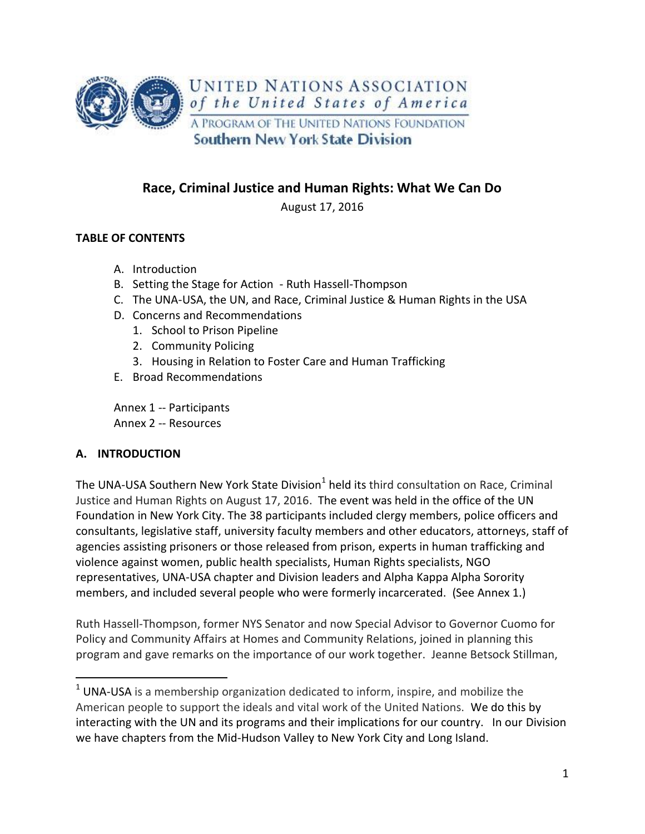

# **Race, Criminal Justice and Human Rights: What We Can Do**

August 17, 2016

### **TABLE OF CONTENTS**

- A. Introduction
- B. Setting the Stage for Action Ruth Hassell-Thompson
- C. The UNA-USA, the UN, and Race, Criminal Justice & Human Rights in the USA
- D. Concerns and Recommendations
	- 1. School to Prison Pipeline
	- 2. Community Policing
	- 3. Housing in Relation to Foster Care and Human Trafficking
- E. Broad Recommendations

Annex 1 -- Participants Annex 2 -- Resources

### **A. INTRODUCTION**

 $\overline{a}$ 

The UNA-USA Southern New York State Division<sup>1</sup> held its third consultation on Race, Criminal Justice and Human Rights on August 17, 2016. The event was held in the office of the UN Foundation in New York City. The 38 participants included clergy members, police officers and consultants, legislative staff, university faculty members and other educators, attorneys, staff of agencies assisting prisoners or those released from prison, experts in human trafficking and violence against women, public health specialists, Human Rights specialists, NGO representatives, UNA-USA chapter and Division leaders and Alpha Kappa Alpha Sorority members, and included several people who were formerly incarcerated. (See Annex 1.)

Ruth Hassell-Thompson, former NYS Senator and now Special Advisor to Governor Cuomo for Policy and Community Affairs at Homes and Community Relations, joined in planning this program and gave remarks on the importance of our work together. Jeanne Betsock Stillman,

 $1$  UNA-USA is a membership organization dedicated to inform, inspire, and mobilize the American people to support the ideals and vital work of the United Nations. We do this by interacting with the UN and its programs and their implications for our country. In our Division we have chapters from the Mid-Hudson Valley to New York City and Long Island.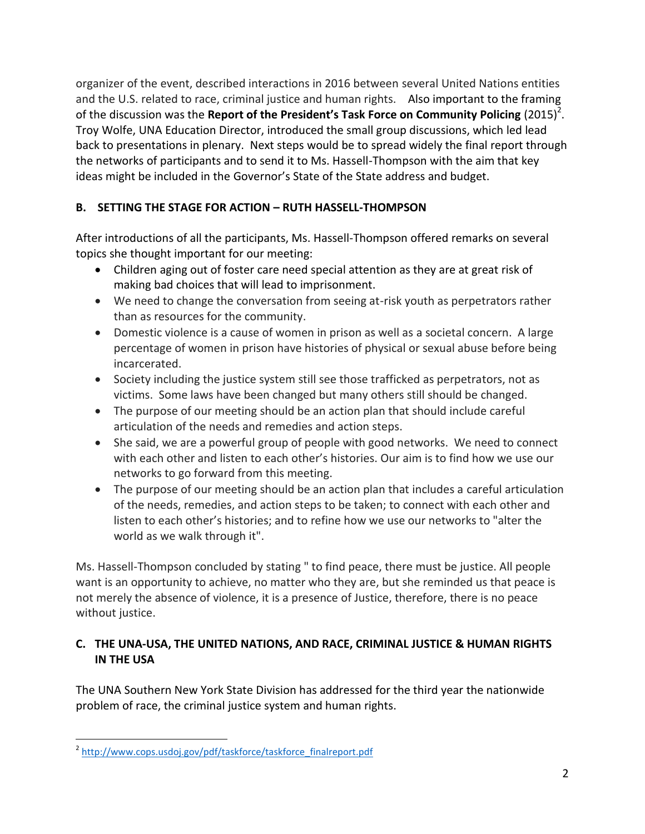organizer of the event, described interactions in 2016 between several United Nations entities and the U.S. related to race, criminal justice and human rights. Also important to the framing of the discussion was the Report of the President's Task Force on Community Policing (2015)<sup>2</sup>. Troy Wolfe, UNA Education Director, introduced the small group discussions, which led lead back to presentations in plenary. Next steps would be to spread widely the final report through the networks of participants and to send it to Ms. Hassell-Thompson with the aim that key ideas might be included in the Governor's State of the State address and budget.

# **B. SETTING THE STAGE FOR ACTION – RUTH HASSELL-THOMPSON**

After introductions of all the participants, Ms. Hassell-Thompson offered remarks on several topics she thought important for our meeting:

- Children aging out of foster care need special attention as they are at great risk of making bad choices that will lead to imprisonment.
- We need to change the conversation from seeing at-risk youth as perpetrators rather than as resources for the community.
- Domestic violence is a cause of women in prison as well as a societal concern. A large percentage of women in prison have histories of physical or sexual abuse before being incarcerated.
- Society including the justice system still see those trafficked as perpetrators, not as victims. Some laws have been changed but many others still should be changed.
- The purpose of our meeting should be an action plan that should include careful articulation of the needs and remedies and action steps.
- She said, we are a powerful group of people with good networks. We need to connect with each other and listen to each other's histories. Our aim is to find how we use our networks to go forward from this meeting.
- The purpose of our meeting should be an action plan that includes a careful articulation of the needs, remedies, and action steps to be taken; to connect with each other and listen to each other's histories; and to refine how we use our networks to "alter the world as we walk through it".

Ms. Hassell-Thompson concluded by stating " to find peace, there must be justice. All people want is an opportunity to achieve, no matter who they are, but she reminded us that peace is not merely the absence of violence, it is a presence of Justice, therefore, there is no peace without justice.

## **C. THE UNA-USA, THE UNITED NATIONS, AND RACE, CRIMINAL JUSTICE & HUMAN RIGHTS IN THE USA**

The UNA Southern New York State Division has addressed for the third year the nationwide problem of race, the criminal justice system and human rights.

 $\overline{a}$ <sup>2</sup> [http://www.cops.usdoj.gov/pdf/taskforce/taskforce\\_finalreport.pdf](http://www.cops.usdoj.gov/pdf/taskforce/taskforce_finalreport.pdf)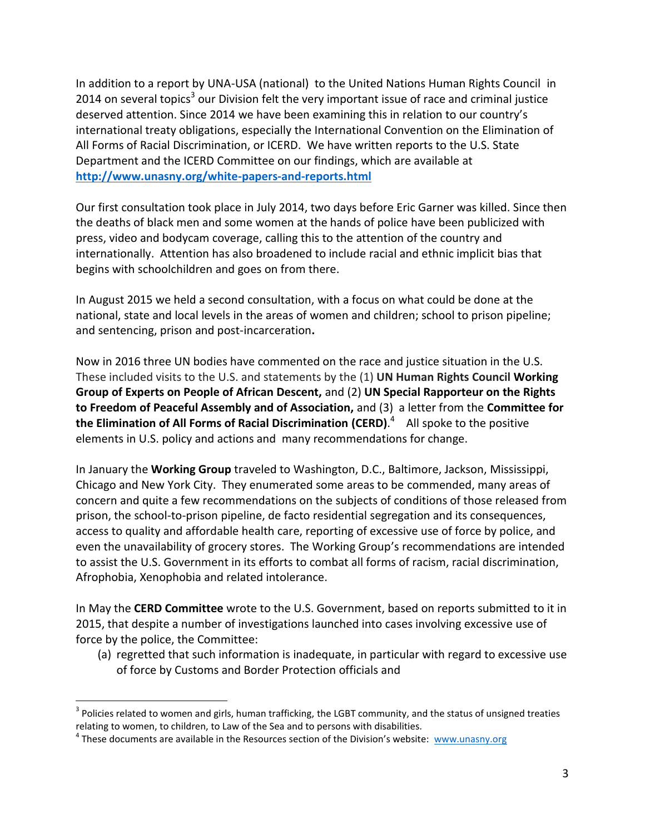In addition to a report by UNA-USA (national) to the United Nations Human Rights Council in 2014 on several topics<sup>3</sup> our Division felt the very important issue of race and criminal justice deserved attention. Since 2014 we have been examining this in relation to our country's international treaty obligations, especially the International Convention on the Elimination of All Forms of Racial Discrimination, or ICERD. We have written reports to the U.S. State Department and the ICERD Committee on our findings, which are available at **<http://www.unasny.org/white-papers-and-reports.html>**

Our first consultation took place in July 2014, two days before Eric Garner was killed. Since then the deaths of black men and some women at the hands of police have been publicized with press, video and bodycam coverage, calling this to the attention of the country and internationally. Attention has also broadened to include racial and ethnic implicit bias that begins with schoolchildren and goes on from there.

In August 2015 we held a second consultation, with a focus on what could be done at the national, state and local levels in the areas of women and children; school to prison pipeline; and sentencing, prison and post-incarceration**.**

Now in 2016 three UN bodies have commented on the race and justice situation in the U.S. These included visits to the U.S. and statements by the (1) **UN Human Rights Council Working Group of Experts on People of African Descent,** and (2) **UN Special Rapporteur on the Rights to Freedom of Peaceful Assembly and of Association,** and (3) a letter from the **Committee for the Elimination of All Forms of Racial Discrimination (CERD)**. 4 All spoke to the positive elements in U.S. policy and actions and many recommendations for change.

In January the **Working Group** traveled to Washington, D.C., Baltimore, Jackson, Mississippi, Chicago and New York City. They enumerated some areas to be commended, many areas of concern and quite a few recommendations on the subjects of conditions of those released from prison, the school-to-prison pipeline, de facto residential segregation and its consequences, access to quality and affordable health care, reporting of excessive use of force by police, and even the unavailability of grocery stores. The Working Group's recommendations are intended to assist the U.S. Government in its efforts to combat all forms of racism, racial discrimination, Afrophobia, Xenophobia and related intolerance.

In May the **CERD Committee** wrote to the U.S. Government, based on reports submitted to it in 2015, that despite a number of investigations launched into cases involving excessive use of force by the police, the Committee:

(a) regretted that such information is inadequate, in particular with regard to excessive use of force by Customs and Border Protection officials and

 $\overline{a}$ 

 $3$  Policies related to women and girls, human trafficking, the LGBT community, and the status of unsigned treaties relating to women, to children, to Law of the Sea and to persons with disabilities.

<sup>&</sup>lt;sup>4</sup> These documents are available in the Resources section of the Division's website: [www.unasny.org](http://www.unasny.org/)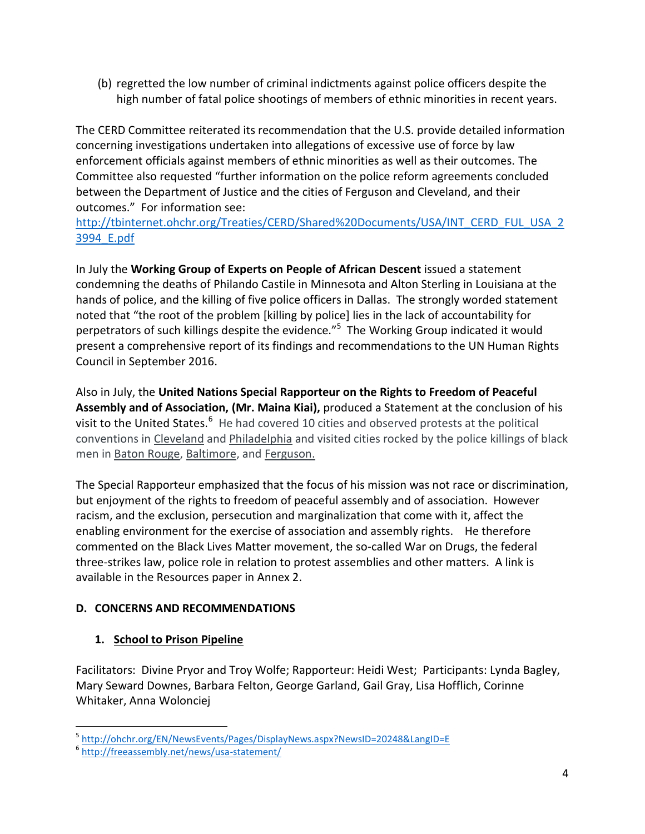(b) regretted the low number of criminal indictments against police officers despite the high number of fatal police shootings of members of ethnic minorities in recent years.

The CERD Committee reiterated its recommendation that the U.S. provide detailed information concerning investigations undertaken into allegations of excessive use of force by law enforcement officials against members of ethnic minorities as well as their outcomes. The Committee also requested "further information on the police reform agreements concluded between the Department of Justice and the cities of Ferguson and Cleveland, and their outcomes." For information see:

[http://tbinternet.ohchr.org/Treaties/CERD/Shared%20Documents/USA/INT\\_CERD\\_FUL\\_USA\\_2](http://tbinternet.ohchr.org/Treaties/CERD/Shared%20Documents/USA/INT_CERD_FUL_USA_23994_E.pdf) [3994\\_E.pdf](http://tbinternet.ohchr.org/Treaties/CERD/Shared%20Documents/USA/INT_CERD_FUL_USA_23994_E.pdf) 

In July the **Working Group of Experts on People of African Descent** issued a statement condemning the deaths of Philando Castile in Minnesota and Alton Sterling in Louisiana at the hands of police, and the killing of five police officers in Dallas. The strongly worded statement noted that "the root of the problem [killing by police] lies in the lack of accountability for perpetrators of such killings despite the evidence."<sup>5</sup> The Working Group indicated it would present a comprehensive report of its findings and recommendations to the UN Human Rights Council in September 2016.

Also in July, the **United Nations Special Rapporteur on the Rights to Freedom of Peaceful Assembly and of Association, (Mr. Maina Kiai),** produced a Statement at the conclusion of his visit to the United States.<sup>6</sup> He had covered 10 cities and observed protests at the political conventions in [Cleveland](https://twitter.com/MainaKiai_UNSR/status/755142018007834624) and [Philadelphia](https://twitter.com/MainaKiai_UNSR/status/758140781345538048) and visited cities rocked by the police killings of black men in [Baton Rouge,](http://www.theadvocate.com/baton_rouge/news/alton_sterling/article_26ed1202-5040-11e6-b427-03e35b23141a.html?utm_medium=social&utm_source=twitter&utm_campaign=user-share) [Baltimore,](https://twitter.com/MainaKiai_UNSR/status/754073710504534016) and [Ferguson.](https://twitter.com/MainaKiai_UNSR/status/754756597717487616)

The Special Rapporteur emphasized that the focus of his mission was not race or discrimination, but enjoyment of the rights to freedom of peaceful assembly and of association. However racism, and the exclusion, persecution and marginalization that come with it, affect the enabling environment for the exercise of association and assembly rights. He therefore commented on the Black Lives Matter movement, the so-called War on Drugs, the federal three-strikes law, police role in relation to protest assemblies and other matters. A link is available in the Resources paper in Annex 2.

## **D. CONCERNS AND RECOMMENDATIONS**

# **1. School to Prison Pipeline**

Facilitators: Divine Pryor and Troy Wolfe; Rapporteur: Heidi West; Participants: Lynda Bagley, Mary Seward Downes, Barbara Felton, George Garland, Gail Gray, Lisa Hofflich, Corinne Whitaker, Anna Wolonciej

 $\overline{a}$ 5 <http://ohchr.org/EN/NewsEvents/Pages/DisplayNews.aspx?NewsID=20248&LangID=E>

<sup>6</sup> <http://freeassembly.net/news/usa-statement/>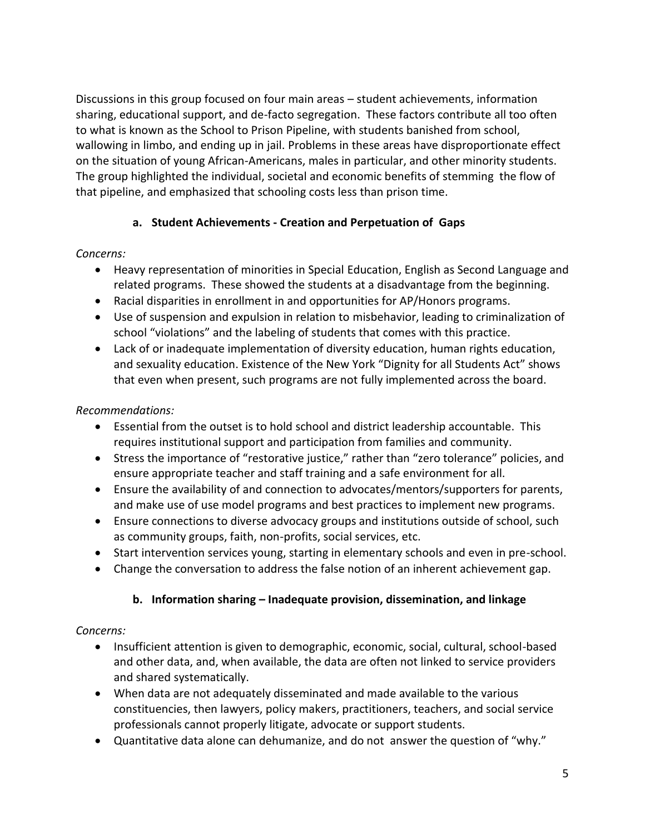Discussions in this group focused on four main areas – student achievements, information sharing, educational support, and de-facto segregation. These factors contribute all too often to what is known as the School to Prison Pipeline, with students banished from school, wallowing in limbo, and ending up in jail. Problems in these areas have disproportionate effect on the situation of young African-Americans, males in particular, and other minority students. The group highlighted the individual, societal and economic benefits of stemming the flow of that pipeline, and emphasized that schooling costs less than prison time.

## **a. Student Achievements - Creation and Perpetuation of Gaps**

### *Concerns:*

- Heavy representation of minorities in Special Education, English as Second Language and related programs. These showed the students at a disadvantage from the beginning.
- Racial disparities in enrollment in and opportunities for AP/Honors programs.
- Use of suspension and expulsion in relation to misbehavior, leading to criminalization of school "violations" and the labeling of students that comes with this practice.
- Lack of or inadequate implementation of diversity education, human rights education, and sexuality education. Existence of the New York "Dignity for all Students Act" shows that even when present, such programs are not fully implemented across the board.

### *Recommendations:*

- Essential from the outset is to hold school and district leadership accountable. This requires institutional support and participation from families and community.
- Stress the importance of "restorative justice," rather than "zero tolerance" policies, and ensure appropriate teacher and staff training and a safe environment for all.
- Ensure the availability of and connection to advocates/mentors/supporters for parents, and make use of use model programs and best practices to implement new programs.
- Ensure connections to diverse advocacy groups and institutions outside of school, such as community groups, faith, non-profits, social services, etc.
- Start intervention services young, starting in elementary schools and even in pre-school.
- Change the conversation to address the false notion of an inherent achievement gap.

### **b. Information sharing – Inadequate provision, dissemination, and linkage**

#### *Concerns:*

- Insufficient attention is given to demographic, economic, social, cultural, school-based and other data, and, when available, the data are often not linked to service providers and shared systematically.
- When data are not adequately disseminated and made available to the various constituencies, then lawyers, policy makers, practitioners, teachers, and social service professionals cannot properly litigate, advocate or support students.
- Quantitative data alone can dehumanize, and do not answer the question of "why."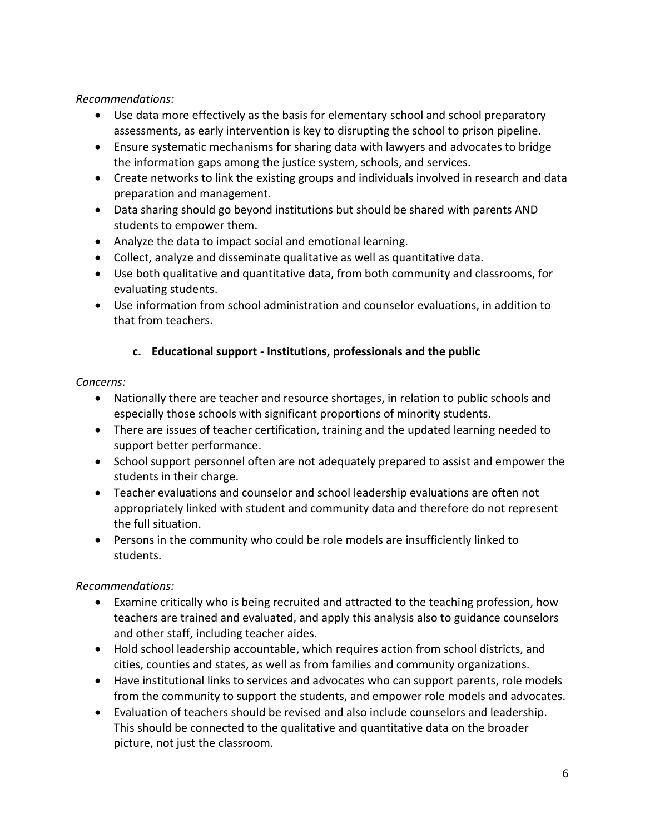*Recommendations:*

- Use data more effectively as the basis for elementary school and school preparatory assessments, as early intervention is key to disrupting the school to prison pipeline.
- Ensure systematic mechanisms for sharing data with lawyers and advocates to bridge the information gaps among the justice system, schools, and services.
- Create networks to link the existing groups and individuals involved in research and data preparation and management.
- Data sharing should go beyond institutions but should be shared with parents AND students to empower them.
- Analyze the data to impact social and emotional learning.
- Collect, analyze and disseminate qualitative as well as quantitative data.
- Use both qualitative and quantitative data, from both community and classrooms, for evaluating students.
- Use information from school administration and counselor evaluations, in addition to that from teachers.

### **c. Educational support - Institutions, professionals and the public**

#### *Concerns:*

- Nationally there are teacher and resource shortages, in relation to public schools and especially those schools with significant proportions of minority students.
- There are issues of teacher certification, training and the updated learning needed to support better performance.
- School support personnel often are not adequately prepared to assist and empower the students in their charge.
- Teacher evaluations and counselor and school leadership evaluations are often not appropriately linked with student and community data and therefore do not represent the full situation.
- Persons in the community who could be role models are insufficiently linked to students.

### *Recommendations:*

- Examine critically who is being recruited and attracted to the teaching profession, how teachers are trained and evaluated, and apply this analysis also to guidance counselors and other staff, including teacher aides.
- Hold school leadership accountable, which requires action from school districts, and cities, counties and states, as well as from families and community organizations.
- Have institutional links to services and advocates who can support parents, role models from the community to support the students, and empower role models and advocates.
- Evaluation of teachers should be revised and also include counselors and leadership. This should be connected to the qualitative and quantitative data on the broader picture, not just the classroom.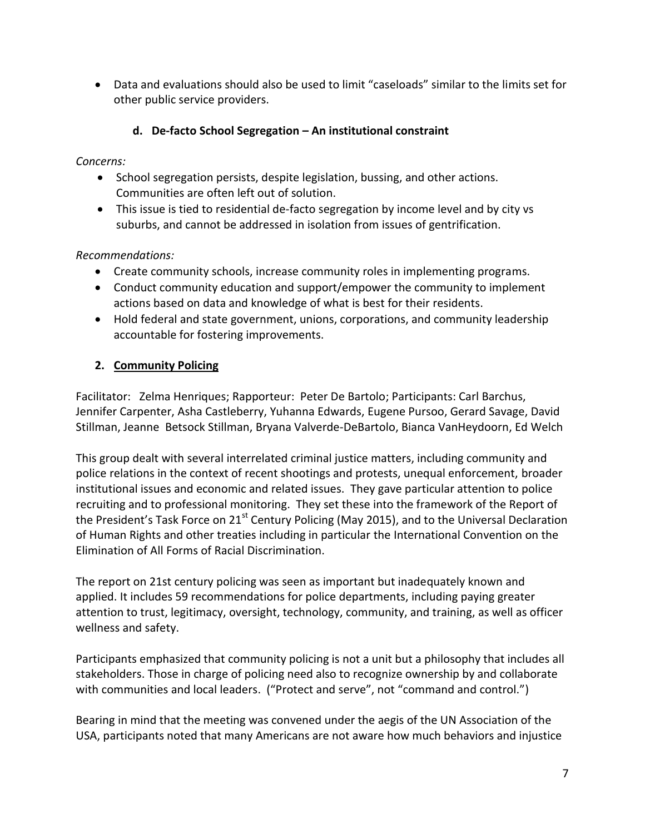Data and evaluations should also be used to limit "caseloads" similar to the limits set for other public service providers.

# **d. De-facto School Segregation – An institutional constraint**

*Concerns:*

- School segregation persists, despite legislation, bussing, and other actions. Communities are often left out of solution.
- This issue is tied to residential de-facto segregation by income level and by city vs suburbs, and cannot be addressed in isolation from issues of gentrification.

## *Recommendations:*

- Create community schools, increase community roles in implementing programs.
- Conduct community education and support/empower the community to implement actions based on data and knowledge of what is best for their residents.
- Hold federal and state government, unions, corporations, and community leadership accountable for fostering improvements.

# **2. Community Policing**

Facilitator: Zelma Henriques; Rapporteur: Peter De Bartolo; Participants: Carl Barchus, Jennifer Carpenter, Asha Castleberry, Yuhanna Edwards, Eugene Pursoo, Gerard Savage, David Stillman, Jeanne Betsock Stillman, Bryana Valverde-DeBartolo, Bianca VanHeydoorn, Ed Welch

This group dealt with several interrelated criminal justice matters, including community and police relations in the context of recent shootings and protests, unequal enforcement, broader institutional issues and economic and related issues. They gave particular attention to police recruiting and to professional monitoring. They set these into the framework of the Report of the President's Task Force on 21<sup>st</sup> Century Policing (May 2015), and to the Universal Declaration of Human Rights and other treaties including in particular the International Convention on the Elimination of All Forms of Racial Discrimination.

The report on 21st century policing was seen as important but inadequately known and applied. It includes 59 recommendations for police departments, including paying greater attention to trust, legitimacy, oversight, technology, community, and training, as well as officer wellness and safety.

Participants emphasized that community policing is not a unit but a philosophy that includes all stakeholders. Those in charge of policing need also to recognize ownership by and collaborate with communities and local leaders. ("Protect and serve", not "command and control.")

Bearing in mind that the meeting was convened under the aegis of the UN Association of the USA, participants noted that many Americans are not aware how much behaviors and injustice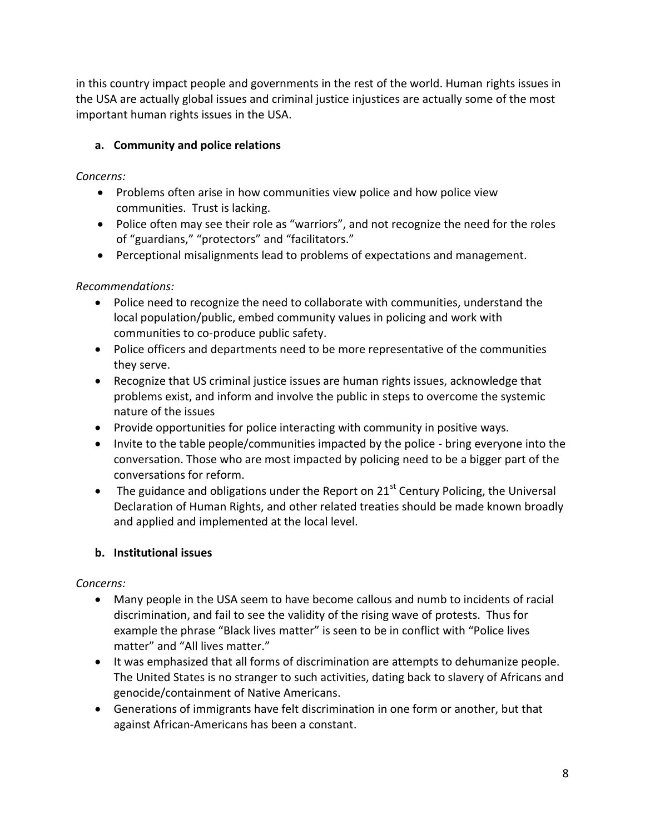in this country impact people and governments in the rest of the world. Human rights issues in the USA are actually global issues and criminal justice injustices are actually some of the most important human rights issues in the USA.

# **a. Community and police relations**

## *Concerns:*

- Problems often arise in how communities view police and how police view communities. Trust is lacking.
- Police often may see their role as "warriors", and not recognize the need for the roles of "guardians," "protectors" and "facilitators."
- Perceptional misalignments lead to problems of expectations and management.

# *Recommendations:*

- Police need to recognize the need to collaborate with communities, understand the local population/public, embed community values in policing and work with communities to co-produce public safety.
- Police officers and departments need to be more representative of the communities they serve.
- Recognize that US criminal justice issues are human rights issues, acknowledge that problems exist, and inform and involve the public in steps to overcome the systemic nature of the issues
- Provide opportunities for police interacting with community in positive ways.
- Invite to the table people/communities impacted by the police bring everyone into the conversation. Those who are most impacted by policing need to be a bigger part of the conversations for reform.
- The guidance and obligations under the Report on  $21<sup>st</sup>$  Century Policing, the Universal Declaration of Human Rights, and other related treaties should be made known broadly and applied and implemented at the local level.

# **b. Institutional issues**

## *Concerns:*

- Many people in the USA seem to have become callous and numb to incidents of racial discrimination, and fail to see the validity of the rising wave of protests. Thus for example the phrase "Black lives matter" is seen to be in conflict with "Police lives matter" and "All lives matter."
- It was emphasized that all forms of discrimination are attempts to dehumanize people. The United States is no stranger to such activities, dating back to slavery of Africans and genocide/containment of Native Americans.
- Generations of immigrants have felt discrimination in one form or another, but that against African-Americans has been a constant.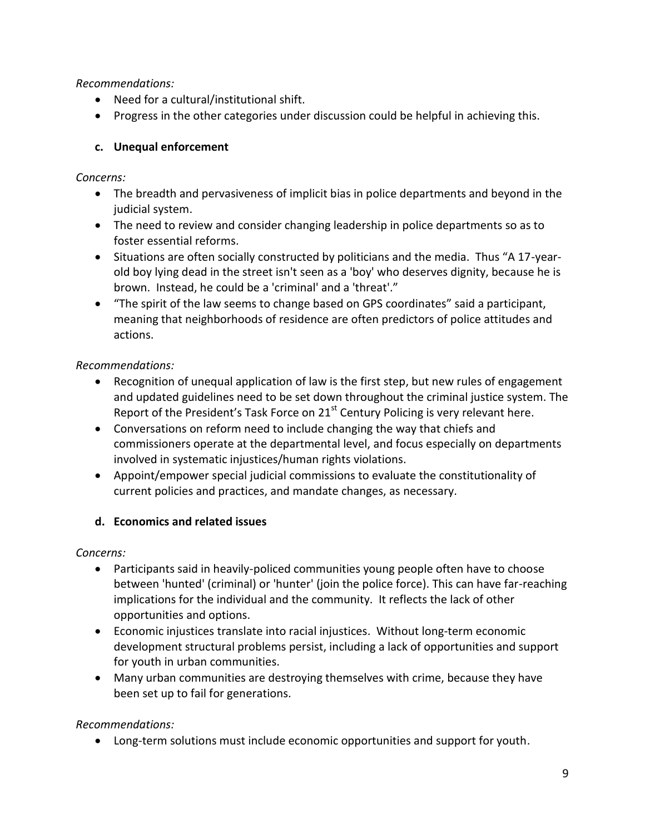*Recommendations:*

- Need for a cultural/institutional shift.
- Progress in the other categories under discussion could be helpful in achieving this.

# **c. Unequal enforcement**

*Concerns:*

- The breadth and pervasiveness of implicit bias in police departments and beyond in the judicial system.
- The need to review and consider changing leadership in police departments so as to foster essential reforms.
- Situations are often socially constructed by politicians and the media. Thus "A 17-yearold boy lying dead in the street isn't seen as a 'boy' who deserves dignity, because he is brown. Instead, he could be a 'criminal' and a 'threat'."
- "The spirit of the law seems to change based on GPS coordinates" said a participant, meaning that neighborhoods of residence are often predictors of police attitudes and actions.

# *Recommendations:*

- Recognition of unequal application of law is the first step, but new rules of engagement and updated guidelines need to be set down throughout the criminal justice system. The Report of the President's Task Force on  $21<sup>st</sup>$  Century Policing is very relevant here.
- Conversations on reform need to include changing the way that chiefs and commissioners operate at the departmental level, and focus especially on departments involved in systematic injustices/human rights violations.
- Appoint/empower special judicial commissions to evaluate the constitutionality of current policies and practices, and mandate changes, as necessary.

# **d. Economics and related issues**

*Concerns:*

- Participants said in heavily-policed communities young people often have to choose between 'hunted' (criminal) or 'hunter' (join the police force). This can have far-reaching implications for the individual and the community. It reflects the lack of other opportunities and options.
- Economic injustices translate into racial injustices. Without long-term economic development structural problems persist, including a lack of opportunities and support for youth in urban communities.
- Many urban communities are destroying themselves with crime, because they have been set up to fail for generations.

# *Recommendations:*

Long-term solutions must include economic opportunities and support for youth.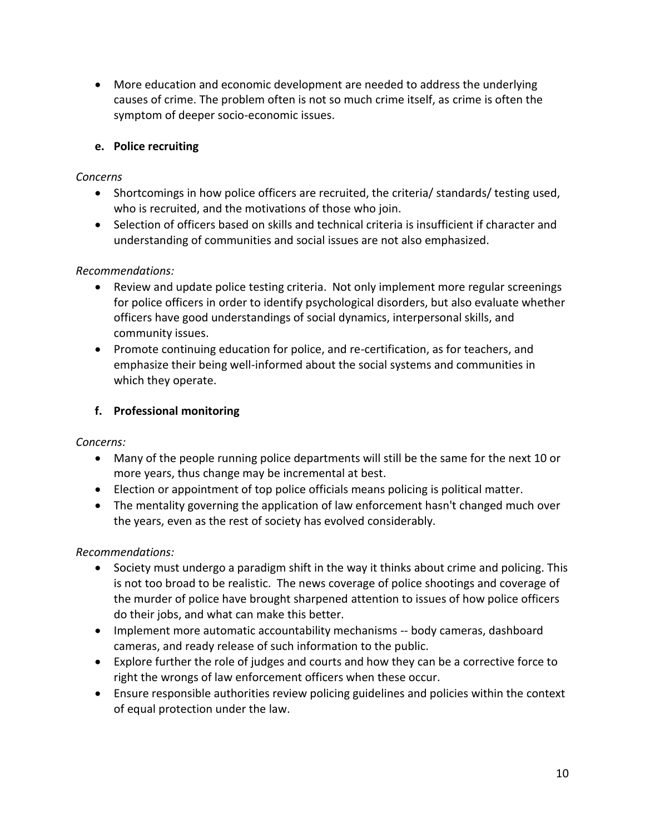More education and economic development are needed to address the underlying causes of crime. The problem often is not so much crime itself, as crime is often the symptom of deeper socio-economic issues.

### **e. Police recruiting**

### *Concerns*

- Shortcomings in how police officers are recruited, the criteria/ standards/ testing used, who is recruited, and the motivations of those who join.
- Selection of officers based on skills and technical criteria is insufficient if character and understanding of communities and social issues are not also emphasized.

### *Recommendations:*

- Review and update police testing criteria. Not only implement more regular screenings for police officers in order to identify psychological disorders, but also evaluate whether officers have good understandings of social dynamics, interpersonal skills, and community issues.
- Promote continuing education for police, and re-certification, as for teachers, and emphasize their being well-informed about the social systems and communities in which they operate.

# **f. Professional monitoring**

## *Concerns:*

- Many of the people running police departments will still be the same for the next 10 or more years, thus change may be incremental at best.
- Election or appointment of top police officials means policing is political matter.
- The mentality governing the application of law enforcement hasn't changed much over the years, even as the rest of society has evolved considerably.

## *Recommendations:*

- Society must undergo a paradigm shift in the way it thinks about crime and policing. This is not too broad to be realistic. The news coverage of police shootings and coverage of the murder of police have brought sharpened attention to issues of how police officers do their jobs, and what can make this better.
- Implement more automatic accountability mechanisms -- body cameras, dashboard cameras, and ready release of such information to the public.
- Explore further the role of judges and courts and how they can be a corrective force to right the wrongs of law enforcement officers when these occur.
- Ensure responsible authorities review policing guidelines and policies within the context of equal protection under the law.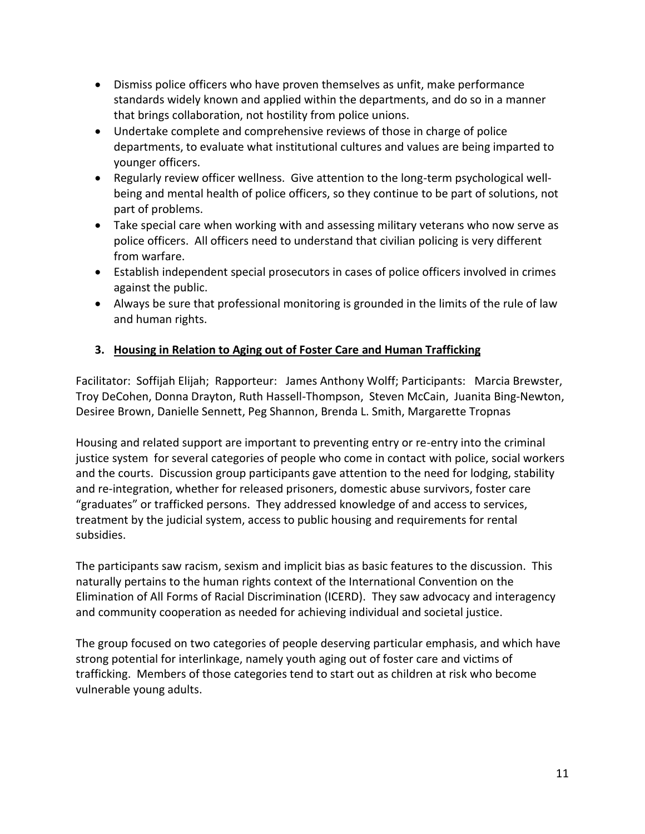- Dismiss police officers who have proven themselves as unfit, make performance standards widely known and applied within the departments, and do so in a manner that brings collaboration, not hostility from police unions.
- Undertake complete and comprehensive reviews of those in charge of police departments, to evaluate what institutional cultures and values are being imparted to younger officers.
- Regularly review officer wellness. Give attention to the long-term psychological wellbeing and mental health of police officers, so they continue to be part of solutions, not part of problems.
- Take special care when working with and assessing military veterans who now serve as police officers. All officers need to understand that civilian policing is very different from warfare.
- Establish independent special prosecutors in cases of police officers involved in crimes against the public.
- Always be sure that professional monitoring is grounded in the limits of the rule of law and human rights.

# **3. Housing in Relation to Aging out of Foster Care and Human Trafficking**

Facilitator: Soffijah Elijah; Rapporteur: James Anthony Wolff; Participants: Marcia Brewster, Troy DeCohen, Donna Drayton, Ruth Hassell-Thompson, Steven McCain, Juanita Bing-Newton, Desiree Brown, Danielle Sennett, Peg Shannon, Brenda L. Smith, Margarette Tropnas

Housing and related support are important to preventing entry or re-entry into the criminal justice system for several categories of people who come in contact with police, social workers and the courts. Discussion group participants gave attention to the need for lodging, stability and re-integration, whether for released prisoners, domestic abuse survivors, foster care "graduates" or trafficked persons. They addressed knowledge of and access to services, treatment by the judicial system, access to public housing and requirements for rental subsidies.

The participants saw racism, sexism and implicit bias as basic features to the discussion. This naturally pertains to the human rights context of the International Convention on the Elimination of All Forms of Racial Discrimination (ICERD). They saw advocacy and interagency and community cooperation as needed for achieving individual and societal justice.

The group focused on two categories of people deserving particular emphasis, and which have strong potential for interlinkage, namely youth aging out of foster care and victims of trafficking. Members of those categories tend to start out as children at risk who become vulnerable young adults.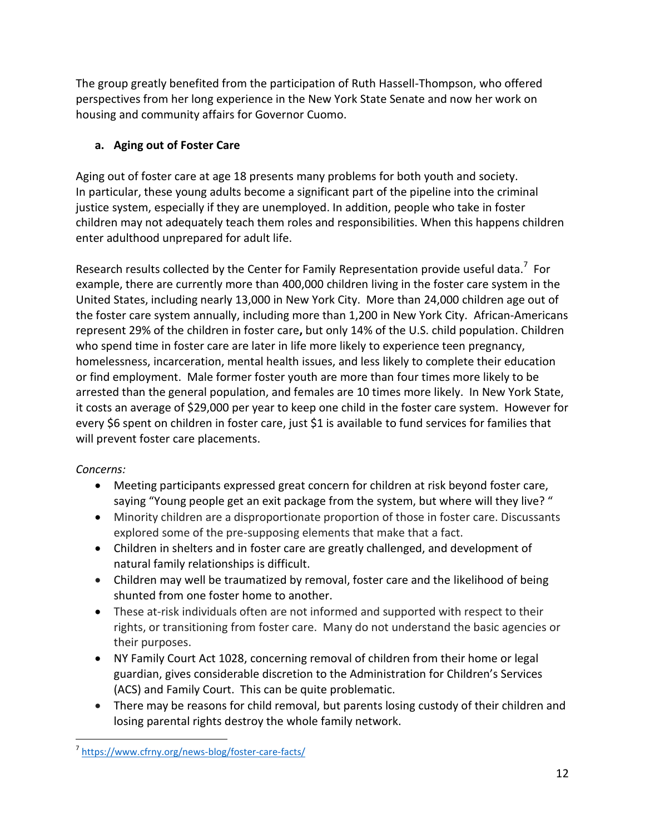The group greatly benefited from the participation of Ruth Hassell-Thompson, who offered perspectives from her long experience in the New York State Senate and now her work on housing and community affairs for Governor Cuomo.

# **a. Aging out of Foster Care**

Aging out of foster care at age 18 presents many problems for both youth and society. In particular, these young adults become a significant part of the pipeline into the criminal justice system, especially if they are unemployed. In addition, people who take in foster children may not adequately teach them roles and responsibilities. When this happens children enter adulthood unprepared for adult life.

Research results collected by the Center for Family Representation provide useful data.<sup>7</sup> For example, there are currently more than 400,000 children living in the foster care system in the United States, including nearly 13,000 in New York City. More than 24,000 children age out of the foster care system annually, including more than 1,200 in New York City. African-Americans represent 29% of the children in foster care**,** but only 14% of the U.S. child population. Children who spend time in foster care are later in life more likely to experience teen pregnancy, homelessness, incarceration, mental health issues, and less likely to complete their education or find employment. Male former foster youth are more than four times more likely to be arrested than the general population, and females are 10 times more likely. In New York State, it costs an average of \$29,000 per year to keep one child in the foster care system. However for every \$6 spent on children in foster care, just \$1 is available to fund services for families that will prevent foster care placements.

## *Concerns:*

- Meeting participants expressed great concern for children at risk beyond foster care, saying "Young people get an exit package from the system, but where will they live? "
- Minority children are a disproportionate proportion of those in foster care. Discussants explored some of the pre-supposing elements that make that a fact.
- Children in shelters and in foster care are greatly challenged, and development of natural family relationships is difficult.
- Children may well be traumatized by removal, foster care and the likelihood of being shunted from one foster home to another.
- These at-risk individuals often are not informed and supported with respect to their rights, or transitioning from foster care. Many do not understand the basic agencies or their purposes.
- NY Family Court Act 1028, concerning removal of children from their home or legal guardian, gives considerable discretion to the Administration for Children's Services (ACS) and Family Court. This can be quite problematic.
- There may be reasons for child removal, but parents losing custody of their children and losing parental rights destroy the whole family network.

 $\overline{a}$ 7 <https://www.cfrny.org/news-blog/foster-care-facts/>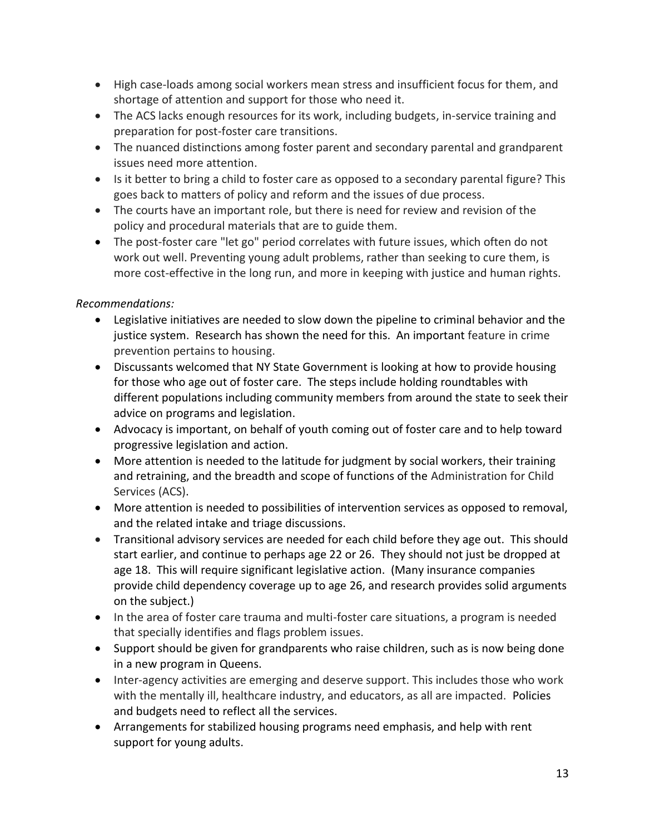- High case-loads among social workers mean stress and insufficient focus for them, and shortage of attention and support for those who need it.
- The ACS lacks enough resources for its work, including budgets, in-service training and preparation for post-foster care transitions.
- The nuanced distinctions among foster parent and secondary parental and grandparent issues need more attention.
- Is it better to bring a child to foster care as opposed to a secondary parental figure? This goes back to matters of policy and reform and the issues of due process.
- The courts have an important role, but there is need for review and revision of the policy and procedural materials that are to guide them.
- The post-foster care "let go" period correlates with future issues, which often do not work out well. Preventing young adult problems, rather than seeking to cure them, is more cost-effective in the long run, and more in keeping with justice and human rights.

### *Recommendations:*

- Legislative initiatives are needed to slow down the pipeline to criminal behavior and the justice system. Research has shown the need for this. An important feature in crime prevention pertains to housing.
- Discussants welcomed that NY State Government is looking at how to provide housing for those who age out of foster care. The steps include holding roundtables with different populations including community members from around the state to seek their advice on programs and legislation.
- Advocacy is important, on behalf of youth coming out of foster care and to help toward progressive legislation and action.
- More attention is needed to the latitude for judgment by social workers, their training and retraining, and the breadth and scope of functions of the Administration for Child Services (ACS).
- More attention is needed to possibilities of intervention services as opposed to removal, and the related intake and triage discussions.
- Transitional advisory services are needed for each child before they age out. This should start earlier, and continue to perhaps age 22 or 26. They should not just be dropped at age 18. This will require significant legislative action. (Many insurance companies provide child dependency coverage up to age 26, and research provides solid arguments on the subject.)
- In the area of foster care trauma and multi-foster care situations, a program is needed that specially identifies and flags problem issues.
- Support should be given for grandparents who raise children, such as is now being done in a new program in Queens.
- Inter-agency activities are emerging and deserve support. This includes those who work with the mentally ill, healthcare industry, and educators, as all are impacted. Policies and budgets need to reflect all the services.
- Arrangements for stabilized housing programs need emphasis, and help with rent support for young adults.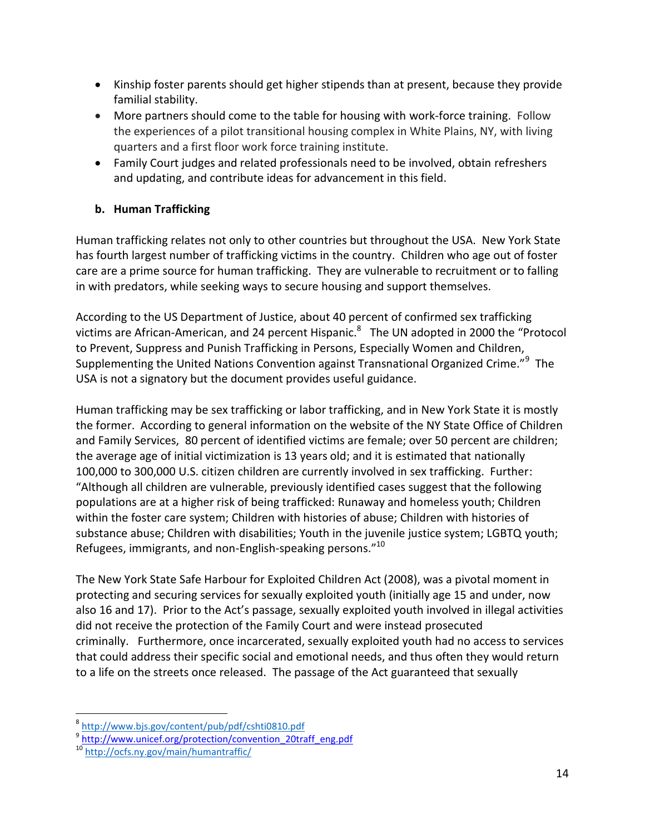- Kinship foster parents should get higher stipends than at present, because they provide familial stability.
- More partners should come to the table for housing with work-force training. Follow the experiences of a pilot transitional housing complex in White Plains, NY, with living quarters and a first floor work force training institute.
- Family Court judges and related professionals need to be involved, obtain refreshers and updating, and contribute ideas for advancement in this field.

# **b. Human Trafficking**

Human trafficking relates not only to other countries but throughout the USA. New York State has fourth largest number of trafficking victims in the country. Children who age out of foster care are a prime source for human trafficking. They are vulnerable to recruitment or to falling in with predators, while seeking ways to secure housing and support themselves.

According to the US Department of Justice, about 40 percent of confirmed sex trafficking victims are African-American, and 24 percent Hispanic. $^8$  The UN adopted in 2000 the "Protocol to Prevent, Suppress and Punish Trafficking in Persons, Especially Women and Children, Supplementing the United Nations Convention against Transnational Organized Crime."<sup>9</sup> The USA is not a signatory but the document provides useful guidance.

Human trafficking may be sex trafficking or labor trafficking, and in New York State it is mostly the former. According to general information on the website of the NY State Office of Children and Family Services, 80 percent of identified victims are female; over 50 percent are children; the average age of initial victimization is 13 years old; and it is estimated that nationally 100,000 to 300,000 U.S. citizen children are currently involved in sex trafficking. Further: "Although all children are vulnerable, previously identified cases suggest that the following populations are at a higher risk of being trafficked: Runaway and homeless youth; Children within the foster care system; Children with histories of abuse; Children with histories of substance abuse; Children with disabilities; Youth in the juvenile justice system; LGBTQ youth; Refugees, immigrants, and non-English-speaking persons."<sup>10</sup>

The New York State Safe Harbour for Exploited Children Act (2008), was a pivotal moment in protecting and securing services for sexually exploited youth (initially age 15 and under, now also 16 and 17). Prior to the Act's passage, sexually exploited youth involved in illegal activities did not receive the protection of the Family Court and were instead prosecuted criminally. Furthermore, once incarcerated, sexually exploited youth had no access to services that could address their specific social and emotional needs, and thus often they would return to a life on the streets once released. The passage of the Act guaranteed that sexually

 $\overline{a}$ 

<sup>8</sup> <http://www.bjs.gov/content/pub/pdf/cshti0810.pdf>

<sup>&</sup>lt;sup>9</sup> [http://www.unicef.org/protection/convention\\_20traff\\_eng.pdf](http://www.unicef.org/protection/convention_20traff_eng.pdf)

<sup>10</sup> <http://ocfs.ny.gov/main/humantraffic/>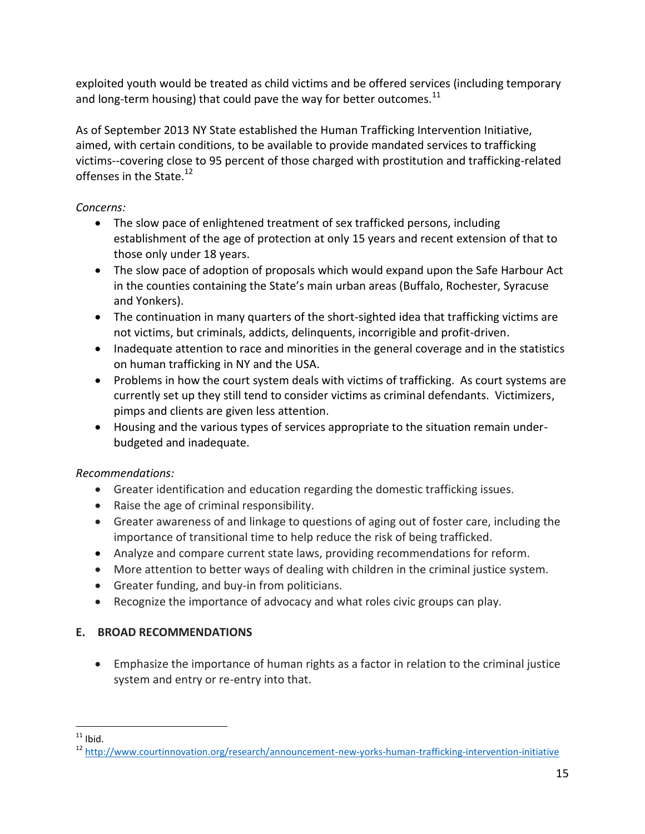exploited youth would be treated as child victims and be offered services (including temporary and long-term housing) that could pave the way for better outcomes. $^{11}$ 

As of September 2013 NY State established the Human Trafficking Intervention Initiative, aimed, with certain conditions, to be available to provide mandated services to trafficking victims--covering close to 95 percent of those charged with prostitution and trafficking-related offenses in the State.<sup>12</sup>

## *Concerns:*

- The slow pace of enlightened treatment of sex trafficked persons, including establishment of the age of protection at only 15 years and recent extension of that to those only under 18 years.
- The slow pace of adoption of proposals which would expand upon the Safe Harbour Act in the counties containing the State's main urban areas (Buffalo, Rochester, Syracuse and Yonkers).
- The continuation in many quarters of the short-sighted idea that trafficking victims are not victims, but criminals, addicts, delinquents, incorrigible and profit-driven.
- Inadequate attention to race and minorities in the general coverage and in the statistics on human trafficking in NY and the USA.
- Problems in how the court system deals with victims of trafficking. As court systems are currently set up they still tend to consider victims as criminal defendants. Victimizers, pimps and clients are given less attention.
- Housing and the various types of services appropriate to the situation remain underbudgeted and inadequate.

## *Recommendations:*

- Greater identification and education regarding the domestic trafficking issues.
- Raise the age of criminal responsibility.
- Greater awareness of and linkage to questions of aging out of foster care, including the importance of transitional time to help reduce the risk of being trafficked.
- Analyze and compare current state laws, providing recommendations for reform.
- More attention to better ways of dealing with children in the criminal justice system.
- Greater funding, and buy-in from politicians.
- Recognize the importance of advocacy and what roles civic groups can play.

## **E. BROAD RECOMMENDATIONS**

 Emphasize the importance of human rights as a factor in relation to the criminal justice system and entry or re-entry into that.

 $\overline{a}$  $11$  Ibid.

<sup>&</sup>lt;sup>12</sup> <http://www.courtinnovation.org/research/announcement-new-yorks-human-trafficking-intervention-initiative>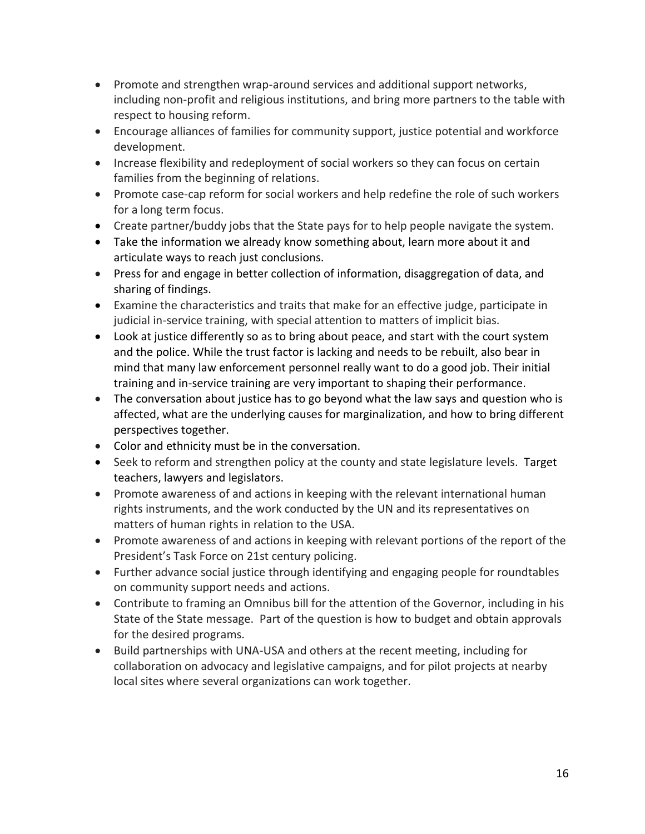- Promote and strengthen wrap-around services and additional support networks, including non-profit and religious institutions, and bring more partners to the table with respect to housing reform.
- Encourage alliances of families for community support, justice potential and workforce development.
- Increase flexibility and redeployment of social workers so they can focus on certain families from the beginning of relations.
- Promote case-cap reform for social workers and help redefine the role of such workers for a long term focus.
- Create partner/buddy jobs that the State pays for to help people navigate the system.
- Take the information we already know something about, learn more about it and articulate ways to reach just conclusions.
- Press for and engage in better collection of information, disaggregation of data, and sharing of findings.
- Examine the characteristics and traits that make for an effective judge, participate in judicial in-service training, with special attention to matters of implicit bias.
- Look at justice differently so as to bring about peace, and start with the court system and the police. While the trust factor is lacking and needs to be rebuilt, also bear in mind that many law enforcement personnel really want to do a good job. Their initial training and in-service training are very important to shaping their performance.
- The conversation about justice has to go beyond what the law says and question who is affected, what are the underlying causes for marginalization, and how to bring different perspectives together.
- Color and ethnicity must be in the conversation.
- Seek to reform and strengthen policy at the county and state legislature levels. Target teachers, lawyers and legislators.
- Promote awareness of and actions in keeping with the relevant international human rights instruments, and the work conducted by the UN and its representatives on matters of human rights in relation to the USA.
- Promote awareness of and actions in keeping with relevant portions of the report of the President's Task Force on 21st century policing.
- Further advance social justice through identifying and engaging people for roundtables on community support needs and actions.
- Contribute to framing an Omnibus bill for the attention of the Governor, including in his State of the State message. Part of the question is how to budget and obtain approvals for the desired programs.
- Build partnerships with UNA-USA and others at the recent meeting, including for collaboration on advocacy and legislative campaigns, and for pilot projects at nearby local sites where several organizations can work together.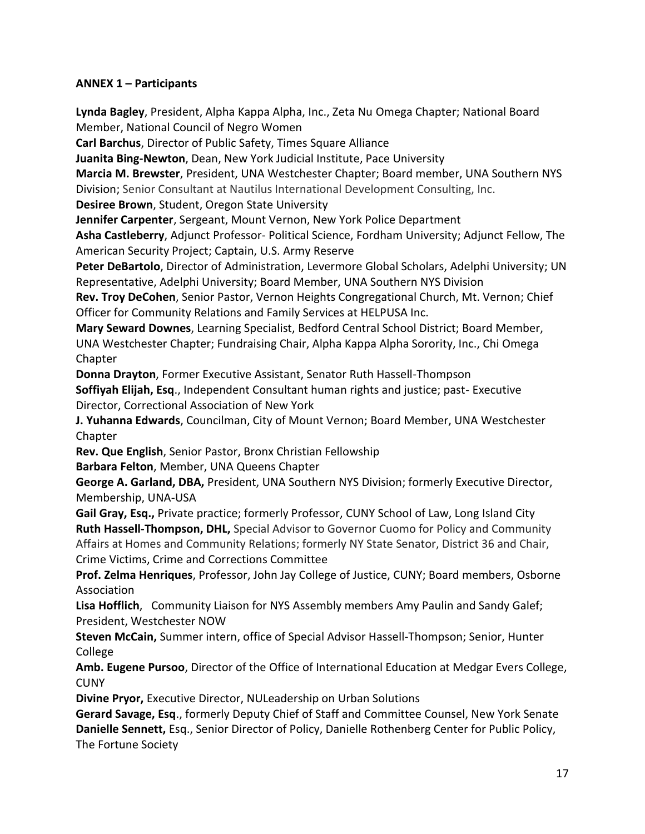### **ANNEX 1 – Participants**

**Lynda Bagley**, President, Alpha Kappa Alpha, Inc., Zeta Nu Omega Chapter; National Board Member, National Council of Negro Women

**Carl Barchus**, Director of Public Safety, Times Square Alliance

**Juanita Bing-Newton**, Dean, New York Judicial Institute, Pace University

**Marcia M. Brewster**, President, UNA Westchester Chapter; Board member, UNA Southern NYS Division; Senior Consultant at Nautilus International Development Consulting, Inc.

**Desiree Brown**, Student, Oregon State University

**Jennifer Carpenter**, Sergeant, Mount Vernon, New York Police Department

**Asha Castleberry**, Adjunct Professor- Political Science, Fordham University; Adjunct Fellow, The American Security Project; Captain, U.S. Army Reserve

**Peter DeBartolo**, Director of Administration, Levermore Global Scholars, Adelphi University; UN Representative, Adelphi University; Board Member, UNA Southern NYS Division

**Rev. Troy DeCohen**, Senior Pastor, Vernon Heights Congregational Church, Mt. Vernon; Chief Officer for Community Relations and Family Services at HELPUSA Inc.

**Mary Seward Downes**, Learning Specialist, Bedford Central School District; Board Member, UNA Westchester Chapter; Fundraising Chair, Alpha Kappa Alpha Sorority, Inc., Chi Omega Chapter

**Donna Drayton**, Former Executive Assistant, Senator Ruth Hassell-Thompson

**Soffiyah Elijah, Esq**., Independent Consultant human rights and justice; past- Executive Director, Correctional Association of New York

**J. Yuhanna Edwards**, Councilman, City of Mount Vernon; Board Member, UNA Westchester Chapter

**Rev. Que English**, Senior Pastor, Bronx Christian Fellowship **Barbara Felton**, Member, UNA Queens Chapter

**George A. Garland, DBA,** President, UNA Southern NYS Division; formerly Executive Director, Membership, UNA-USA

**Gail Gray, Esq.,** Private practice; formerly Professor, CUNY School of Law, Long Island City **Ruth Hassell-Thompson, DHL,** Special Advisor to Governor Cuomo for Policy and Community Affairs at Homes and Community Relations; formerly NY State Senator, District 36 and Chair, Crime Victims, Crime and Corrections Committee

**Prof. Zelma Henriques**, Professor, John Jay College of Justice, CUNY; Board members, Osborne Association

**Lisa Hofflich**, Community Liaison for NYS Assembly members Amy Paulin and Sandy Galef; President, Westchester NOW

**Steven McCain,** Summer intern, office of Special Advisor Hassell-Thompson; Senior, Hunter College

**Amb. Eugene Pursoo**, Director of the Office of International Education at Medgar Evers College, **CUNY** 

**Divine Pryor,** Executive Director, NULeadership on Urban Solutions

**Gerard Savage, Esq**., formerly Deputy Chief of Staff and Committee Counsel, New York Senate **Danielle Sennett,** Esq., Senior Director of Policy, Danielle Rothenberg Center for Public Policy, The Fortune Society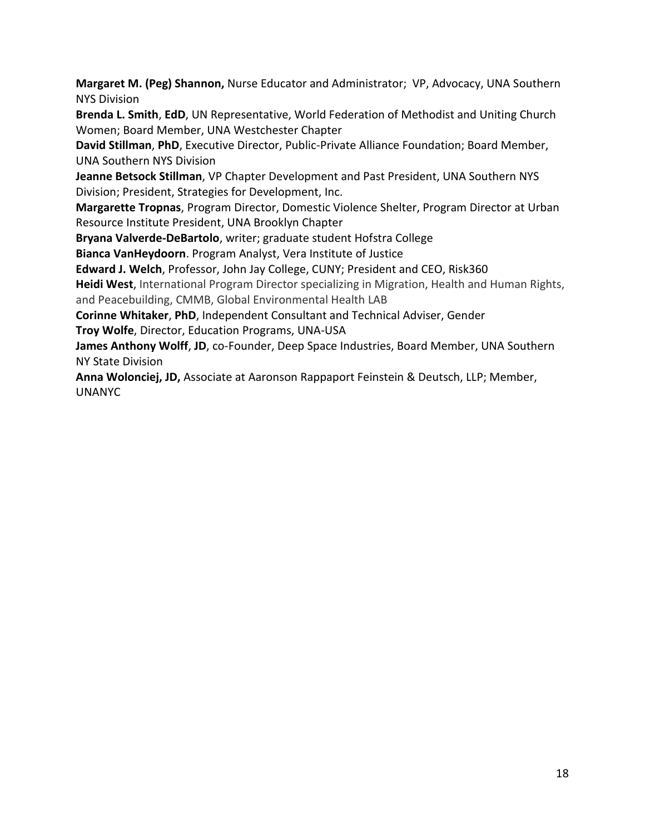**Margaret M. (Peg) Shannon,** Nurse Educator and Administrator; VP, Advocacy, UNA Southern NYS Division

**Brenda L. Smith**, **EdD**, UN Representative, World Federation of Methodist and Uniting Church Women; Board Member, UNA Westchester Chapter

**David Stillman**, **PhD**, Executive Director, Public-Private Alliance Foundation; Board Member, UNA Southern NYS Division

**Jeanne Betsock Stillman**, VP Chapter Development and Past President, UNA Southern NYS Division; President, Strategies for Development, Inc.

**Margarette Tropnas**, Program Director, Domestic Violence Shelter, Program Director at Urban Resource Institute President, UNA Brooklyn Chapter

**Bryana Valverde-DeBartolo**, writer; graduate student Hofstra College

**Bianca VanHeydoorn**. Program Analyst, Vera Institute of Justice

**Edward J. Welch**, Professor, John Jay College, CUNY; President and CEO, Risk360

**Heidi West**, International Program Director specializing in Migration, Health and Human Rights, and Peacebuilding, CMMB, Global Environmental Health LAB

**Corinne Whitaker**, **PhD**, Independent Consultant and Technical Adviser, Gender

**Troy Wolfe**, Director, Education Programs, UNA-USA

**James Anthony Wolff**, **JD**, co-Founder, Deep Space Industries, Board Member, UNA Southern NY State Division

**Anna Wolonciej, JD,** Associate at Aaronson Rappaport Feinstein & Deutsch, LLP; Member, UNANYC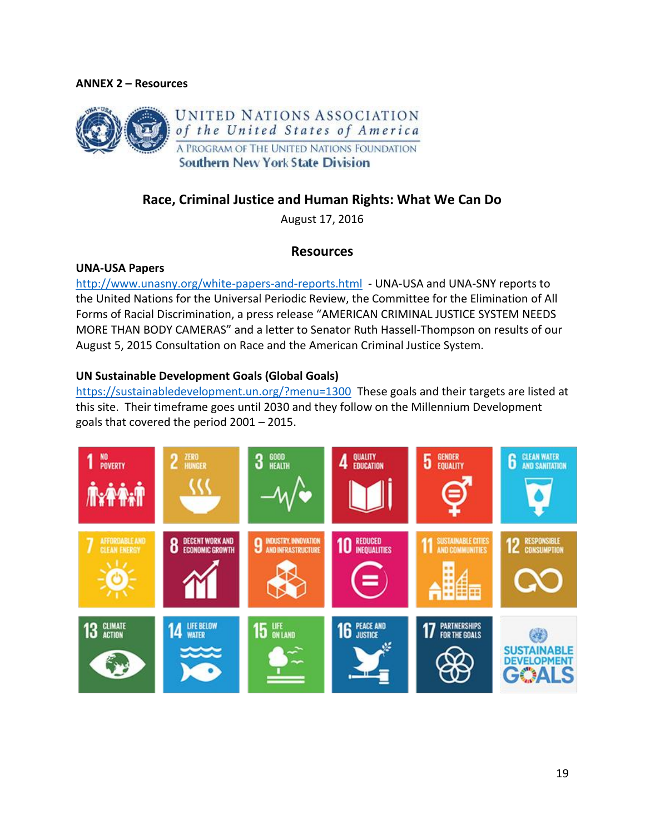#### **ANNEX 2 – Resources**



# **Race, Criminal Justice and Human Rights: What We Can Do**

August 17, 2016

### **Resources**

#### **UNA-USA Papers**

<http://www.unasny.org/white-papers-and-reports.html>- UNA-USA and UNA-SNY reports to the United Nations for the Universal Periodic Review, the Committee for the Elimination of All Forms of Racial Discrimination, a press release "AMERICAN CRIMINAL JUSTICE SYSTEM NEEDS MORE THAN BODY CAMERAS" and a letter to Senator Ruth Hassell-Thompson on results of our August 5, 2015 Consultation on Race and the American Criminal Justice System.

#### **UN Sustainable Development Goals (Global Goals)**

<https://sustainabledevelopment.un.org/?menu=1300>These goals and their targets are listed at this site. Their timeframe goes until 2030 and they follow on the Millennium Development goals that covered the period 2001 – 2015.